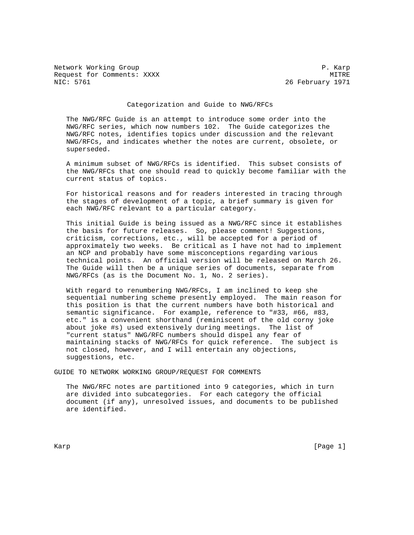Network Working Group **P. Karp** Request for Comments: XXXX MITRE 1971<br>NIC: 5761 MITRE 26 February 1971

26 February 1971

### Categorization and Guide to NWG/RFCs

 The NWG/RFC Guide is an attempt to introduce some order into the NWG/RFC series, which now numbers 102. The Guide categorizes the NWG/RFC notes, identifies topics under discussion and the relevant NWG/RFCs, and indicates whether the notes are current, obsolete, or superseded.

 A minimum subset of NWG/RFCs is identified. This subset consists of the NWG/RFCs that one should read to quickly become familiar with the current status of topics.

 For historical reasons and for readers interested in tracing through the stages of development of a topic, a brief summary is given for each NWG/RFC relevant to a particular category.

 This initial Guide is being issued as a NWG/RFC since it establishes the basis for future releases. So, please comment! Suggestions, criticism, corrections, etc., will be accepted for a period of approximately two weeks. Be critical as I have not had to implement an NCP and probably have some misconceptions regarding various technical points. An official version will be released on March 26. The Guide will then be a unique series of documents, separate from NWG/RFCs (as is the Document No. 1, No. 2 series).

 With regard to renumbering NWG/RFCs, I am inclined to keep she sequential numbering scheme presently employed. The main reason for this position is that the current numbers have both historical and semantic significance. For example, reference to "#33, #66, #83, etc." is a convenient shorthand (reminiscent of the old corny joke about joke #s) used extensively during meetings. The list of "current status" NWG/RFC numbers should dispel any fear of maintaining stacks of NWG/RFCs for quick reference. The subject is not closed, however, and I will entertain any objections, suggestions, etc.

GUIDE TO NETWORK WORKING GROUP/REQUEST FOR COMMENTS

 The NWG/RFC notes are partitioned into 9 categories, which in turn are divided into subcategories. For each category the official document (if any), unresolved issues, and documents to be published are identified.

Karp [Page 1] [Page 1] [Page 1] [Page 1] [Page 1] [Page 1] [Page 1] [Page 1] [Page 1] [Page 1] [Page 1] [Page 1] [Page 1] [Page 1] [Page 1] [Page 1] [Page 1] [Page 1] [Page 1] [Page 1] [Page 1] [Page 1] [Page 1] [Page 1] [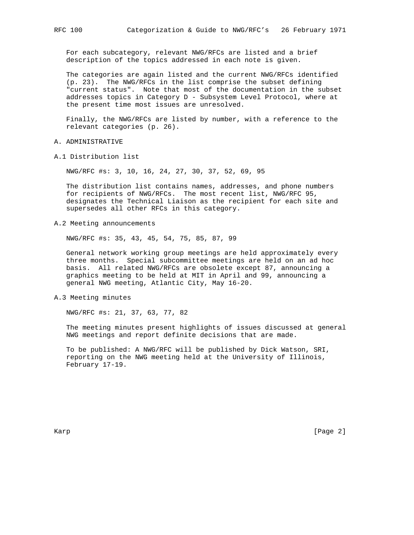For each subcategory, relevant NWG/RFCs are listed and a brief description of the topics addressed in each note is given.

 The categories are again listed and the current NWG/RFCs identified (p. 23). The NWG/RFCs in the list comprise the subset defining "current status". Note that most of the documentation in the subset addresses topics in Category D - Subsystem Level Protocol, where at the present time most issues are unresolved.

 Finally, the NWG/RFCs are listed by number, with a reference to the relevant categories (p. 26).

A. ADMINISTRATIVE

A.1 Distribution list

NWG/RFC #s: 3, 10, 16, 24, 27, 30, 37, 52, 69, 95

 The distribution list contains names, addresses, and phone numbers for recipients of NWG/RFCs. The most recent list, NWG/RFC 95, designates the Technical Liaison as the recipient for each site and supersedes all other RFCs in this category.

A.2 Meeting announcements

NWG/RFC #s: 35, 43, 45, 54, 75, 85, 87, 99

 General network working group meetings are held approximately every three months. Special subcommittee meetings are held on an ad hoc basis. All related NWG/RFCs are obsolete except 87, announcing a graphics meeting to be held at MIT in April and 99, announcing a general NWG meeting, Atlantic City, May 16-20.

### A.3 Meeting minutes

NWG/RFC #s: 21, 37, 63, 77, 82

 The meeting minutes present highlights of issues discussed at general NWG meetings and report definite decisions that are made.

 To be published: A NWG/RFC will be published by Dick Watson, SRI, reporting on the NWG meeting held at the University of Illinois, February 17-19.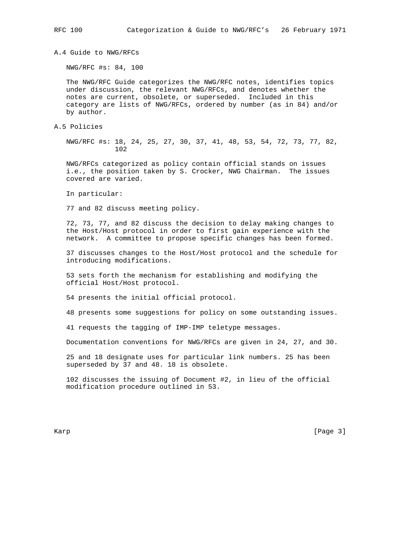A.4 Guide to NWG/RFCs

NWG/RFC #s: 84, 100

 The NWG/RFC Guide categorizes the NWG/RFC notes, identifies topics under discussion, the relevant NWG/RFCs, and denotes whether the notes are current, obsolete, or superseded. Included in this category are lists of NWG/RFCs, ordered by number (as in 84) and/or by author.

A.5 Policies

 NWG/RFC #s: 18, 24, 25, 27, 30, 37, 41, 48, 53, 54, 72, 73, 77, 82, 102

 NWG/RFCs categorized as policy contain official stands on issues i.e., the position taken by S. Crocker, NWG Chairman. The issues covered are varied.

In particular:

77 and 82 discuss meeting policy.

 72, 73, 77, and 82 discuss the decision to delay making changes to the Host/Host protocol in order to first gain experience with the network. A committee to propose specific changes has been formed.

 37 discusses changes to the Host/Host protocol and the schedule for introducing modifications.

 53 sets forth the mechanism for establishing and modifying the official Host/Host protocol.

54 presents the initial official protocol.

48 presents some suggestions for policy on some outstanding issues.

41 requests the tagging of IMP-IMP teletype messages.

Documentation conventions for NWG/RFCs are given in 24, 27, and 30.

 25 and 18 designate uses for particular link numbers. 25 has been superseded by 37 and 48. 18 is obsolete.

 102 discusses the issuing of Document #2, in lieu of the official modification procedure outlined in 53.

Karp [Page 3]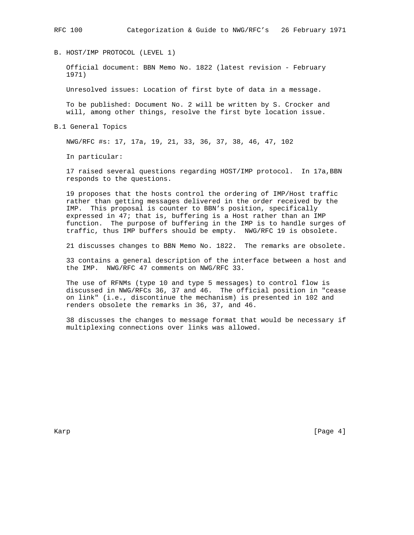B. HOST/IMP PROTOCOL (LEVEL 1)

 Official document: BBN Memo No. 1822 (latest revision - February 1971)

Unresolved issues: Location of first byte of data in a message.

 To be published: Document No. 2 will be written by S. Crocker and will, among other things, resolve the first byte location issue.

B.1 General Topics

NWG/RFC #s: 17, 17a, 19, 21, 33, 36, 37, 38, 46, 47, 102

In particular:

 17 raised several questions regarding HOST/IMP protocol. In 17a,BBN responds to the questions.

 19 proposes that the hosts control the ordering of IMP/Host traffic rather than getting messages delivered in the order received by the IMP. This proposal is counter to BBN's position, specifically expressed in 47; that is, buffering is a Host rather than an IMP function. The purpose of buffering in the IMP is to handle surges of traffic, thus IMP buffers should be empty. NWG/RFC 19 is obsolete.

21 discusses changes to BBN Memo No. 1822. The remarks are obsolete.

 33 contains a general description of the interface between a host and the IMP. NWG/RFC 47 comments on NWG/RFC 33.

 The use of RFNMs (type 10 and type 5 messages) to control flow is discussed in NWG/RFCs 36, 37 and 46. The official position in "cease on link" (i.e., discontinue the mechanism) is presented in 102 and renders obsolete the remarks in 36, 37, and 46.

 38 discusses the changes to message format that would be necessary if multiplexing connections over links was allowed.

Karp [Page 4]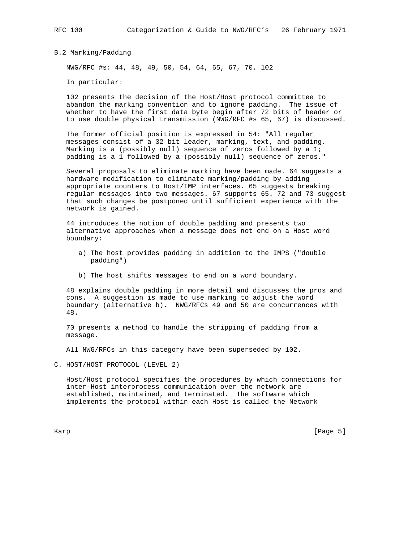B.2 Marking/Padding

NWG/RFC #s: 44, 48, 49, 50, 54, 64, 65, 67, 70, 102

In particular:

 102 presents the decision of the Host/Host protocol committee to abandon the marking convention and to ignore padding. The issue of whether to have the first data byte begin after 72 bits of header or to use double physical transmission (NWG/RFC #s 65, 67) is discussed.

 The former official position is expressed in 54: "All regular messages consist of a 32 bit leader, marking, text, and padding. Marking is a (possibly null) sequence of zeros followed by a 1; padding is a 1 followed by a (possibly null) sequence of zeros."

 Several proposals to eliminate marking have been made. 64 suggests a hardware modification to eliminate marking/padding by adding appropriate counters to Host/IMP interfaces. 65 suggests breaking regular messages into two messages. 67 supports 65. 72 and 73 suggest that such changes be postponed until sufficient experience with the network is gained.

 44 introduces the notion of double padding and presents two alternative approaches when a message does not end on a Host word boundary:

- a) The host provides padding in addition to the IMPS ("double padding")
- b) The host shifts messages to end on a word boundary.

 48 explains double padding in more detail and discusses the pros and cons. A suggestion is made to use marking to adjust the word baundary (alternative b). NWG/RFCs 49 and 50 are concurrences with 48.

 70 presents a method to handle the stripping of padding from a message.

All NWG/RFCs in this category have been superseded by 102.

C. HOST/HOST PROTOCOL (LEVEL 2)

 Host/Host protocol specifies the procedures by which connections for inter-Host interprocess communication over the network are established, maintained, and terminated. The software which implements the protocol within each Host is called the Network

Karp [Page 5] [Page 5] [Page 5] [Page 5] [Page 5] [Page 5] [Page 5] [Page 5] [Page 5] [Page 5] [Page 5] [Page 5] [Page 5] [Page 5] [Page 5] [Page 5] [Page 5] [Page 5] [Page 5] [Page 5] [Page 5] [Page 5] [Page 5] [Page 5] [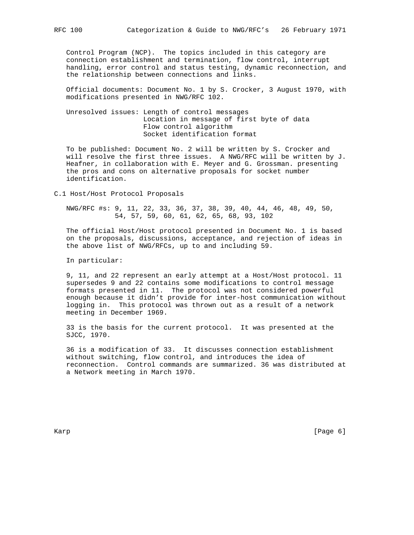Control Program (NCP). The topics included in this category are connection establishment and termination, flow control, interrupt handling, error control and status testing, dynamic reconnection, and the relationship between connections and links.

 Official documents: Document No. 1 by S. Crocker, 3 August 1970, with modifications presented in NWG/RFC 102.

 Unresolved issues: Length of control messages Location in message of first byte of data Flow control algorithm Socket identification format

 To be published: Document No. 2 will be written by S. Crocker and will resolve the first three issues. A NWG/RFC will be written by J. Heafner, in collaboration with E. Meyer and G. Grossman. presenting the pros and cons on alternative proposals for socket number identification.

C.1 Host/Host Protocol Proposals

 NWG/RFC #s: 9, 11, 22, 33, 36, 37, 38, 39, 40, 44, 46, 48, 49, 50, 54, 57, 59, 60, 61, 62, 65, 68, 93, 102

 The official Host/Host protocol presented in Document No. 1 is based on the proposals, discussions, acceptance, and rejection of ideas in the above list of NWG/RFCs, up to and including 59.

In particular:

 9, 11, and 22 represent an early attempt at a Host/Host protocol. 11 supersedes 9 and 22 contains some modifications to control message formats presented in 11. The protocol was not considered powerful enough because it didn't provide for inter-host communication without logging in. This protocol was thrown out as a result of a network meeting in December 1969.

 33 is the basis for the current protocol. It was presented at the SJCC, 1970.

 36 is a modification of 33. It discusses connection establishment without switching, flow control, and introduces the idea of reconnection. Control commands are summarized. 36 was distributed at a Network meeting in March 1970.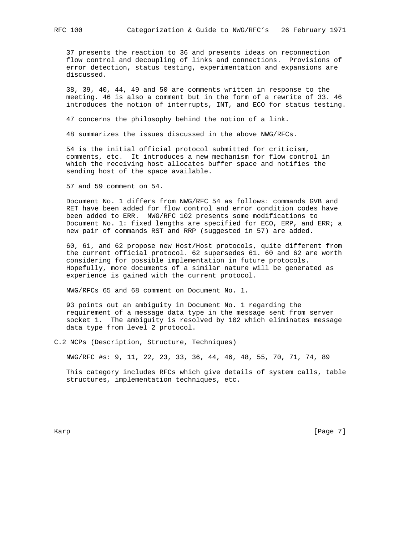37 presents the reaction to 36 and presents ideas on reconnection flow control and decoupling of links and connections. Provisions of error detection, status testing, experimentation and expansions are discussed.

 38, 39, 40, 44, 49 and 50 are comments written in response to the meeting. 46 is also a comment but in the form of a rewrite of 33. 46 introduces the notion of interrupts, INT, and ECO for status testing.

47 concerns the philosophy behind the notion of a link.

48 summarizes the issues discussed in the above NWG/RFCs.

 54 is the initial official protocol submitted for criticism, comments, etc. It introduces a new mechanism for flow control in which the receiving host allocates buffer space and notifies the sending host of the space available.

57 and 59 comment on 54.

 Document No. 1 differs from NWG/RFC 54 as follows: commands GVB and RET have been added for flow control and error condition codes have been added to ERR. NWG/RFC 102 presents some modifications to Document No. 1: fixed lengths are specified for ECO, ERP, and ERR; a new pair of commands RST and RRP (suggested in 57) are added.

 60, 61, and 62 propose new Host/Host protocols, quite different from the current official protocol. 62 supersedes 61. 60 and 62 are worth considering for possible implementation in future protocols. Hopefully, more documents of a similar nature will be generated as experience is gained with the current protocol.

NWG/RFCs 65 and 68 comment on Document No. 1.

 93 points out an ambiguity in Document No. 1 regarding the requirement of a message data type in the message sent from server socket 1. The ambiguity is resolved by 102 which eliminates message data type from level 2 protocol.

C.2 NCPs (Description, Structure, Techniques)

NWG/RFC #s: 9, 11, 22, 23, 33, 36, 44, 46, 48, 55, 70, 71, 74, 89

 This category includes RFCs which give details of system calls, table structures, implementation techniques, etc.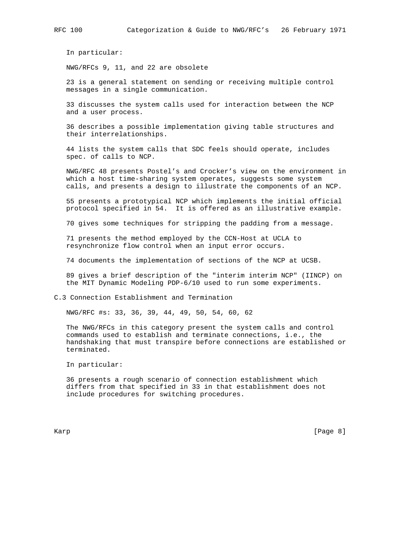In particular:

NWG/RFCs 9, 11, and 22 are obsolete

 23 is a general statement on sending or receiving multiple control messages in a single communication.

 33 discusses the system calls used for interaction between the NCP and a user process.

 36 describes a possible implementation giving table structures and their interrelationships.

 44 lists the system calls that SDC feels should operate, includes spec. of calls to NCP.

 NWG/RFC 48 presents Postel's and Crocker's view on the environment in which a host time-sharing system operates, suggests some system calls, and presents a design to illustrate the components of an NCP.

 55 presents a prototypical NCP which implements the initial official protocol specified in 54. It is offered as an illustrative example.

70 gives some techniques for stripping the padding from a message.

 71 presents the method employed by the CCN-Host at UCLA to resynchronize flow control when an input error occurs.

74 documents the implementation of sections of the NCP at UCSB.

 89 gives a brief description of the "interim interim NCP" (IINCP) on the MIT Dynamic Modeling PDP-6/10 used to run some experiments.

### C.3 Connection Establishment and Termination

NWG/RFC #s: 33, 36, 39, 44, 49, 50, 54, 60, 62

 The NWG/RFCs in this category present the system calls and control commands used to establish and terminate connections, i.e., the handshaking that must transpire before connections are established or terminated.

In particular:

 36 presents a rough scenario of connection establishment which differs from that specified in 33 in that establishment does not include procedures for switching procedures.

Karp [Page 8] [Page 8] [Page 8] [Page 8] [Page 8] [Page 8] [Page 8] [Page 8] [Page 8] [Page 8] [Page 8] [Page 8] [Page 8] [Page 8] [Page 8] [Page 8] [Page 8] [Page 8] [Page 8] [Page 8] [Page 8] [Page 8] [Page 8] [Page 8] [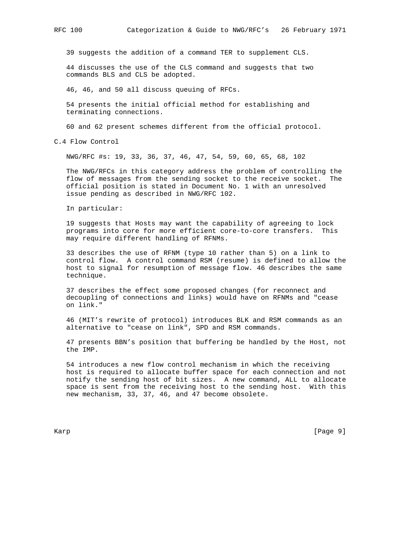39 suggests the addition of a command TER to supplement CLS.

 44 discusses the use of the CLS command and suggests that two commands BLS and CLS be adopted.

46, 46, and 50 all discuss queuing of RFCs.

 54 presents the initial official method for establishing and terminating connections.

60 and 62 present schemes different from the official protocol.

C.4 Flow Control

NWG/RFC #s: 19, 33, 36, 37, 46, 47, 54, 59, 60, 65, 68, 102

 The NWG/RFCs in this category address the problem of controlling the flow of messages from the sending socket to the receive socket. The official position is stated in Document No. 1 with an unresolved issue pending as described in NWG/RFC 102.

In particular:

 19 suggests that Hosts may want the capability of agreeing to lock programs into core for more efficient core-to-core transfers. This may require different handling of RFNMs.

 33 describes the use of RFNM (type 10 rather than 5) on a link to control flow. A control command RSM (resume) is defined to allow the host to signal for resumption of message flow. 46 describes the same technique.

 37 describes the effect some proposed changes (for reconnect and decoupling of connections and links) would have on RFNMs and "cease on link."

 46 (MIT's rewrite of protocol) introduces BLK and RSM commands as an alternative to "cease on link", SPD and RSM commands.

 47 presents BBN's position that buffering be handled by the Host, not the IMP.

 54 introduces a new flow control mechanism in which the receiving host is required to allocate buffer space for each connection and not notify the sending host of bit sizes. A new command, ALL to allocate space is sent from the receiving host to the sending host. With this new mechanism, 33, 37, 46, and 47 become obsolete.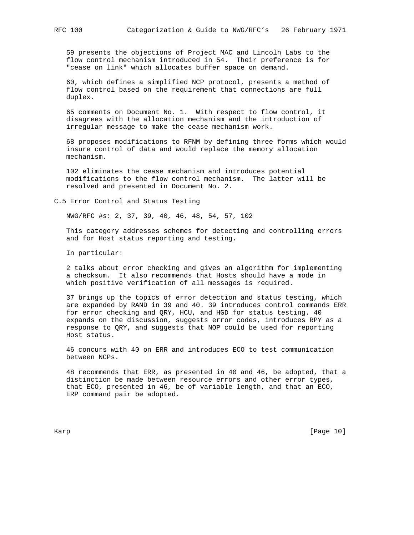59 presents the objections of Project MAC and Lincoln Labs to the flow control mechanism introduced in 54. Their preference is for "cease on link" which allocates buffer space on demand.

 60, which defines a simplified NCP protocol, presents a method of flow control based on the requirement that connections are full duplex.

 65 comments on Document No. 1. With respect to flow control, it disagrees with the allocation mechanism and the introduction of irregular message to make the cease mechanism work.

 68 proposes modifications to RFNM by defining three forms which would insure control of data and would replace the memory allocation mechanism.

 102 eliminates the cease mechanism and introduces potential modifications to the flow control mechanism. The latter will be resolved and presented in Document No. 2.

C.5 Error Control and Status Testing

NWG/RFC #s: 2, 37, 39, 40, 46, 48, 54, 57, 102

 This category addresses schemes for detecting and controlling errors and for Host status reporting and testing.

In particular:

 2 talks about error checking and gives an algorithm for implementing a checksum. It also recommends that Hosts should have a mode in which positive verification of all messages is required.

 37 brings up the topics of error detection and status testing, which are expanded by RAND in 39 and 40. 39 introduces control commands ERR for error checking and QRY, HCU, and HGD for status testing. 40 expands on the discussion, suggests error codes, introduces RPY as a response to QRY, and suggests that NOP could be used for reporting Host status.

 46 concurs with 40 on ERR and introduces ECO to test communication between NCPs.

 48 recommends that ERR, as presented in 40 and 46, be adopted, that a distinction be made between resource errors and other error types, that ECO, presented in 46, be of variable length, and that an ECO, ERP command pair be adopted.

Karp [Page 10]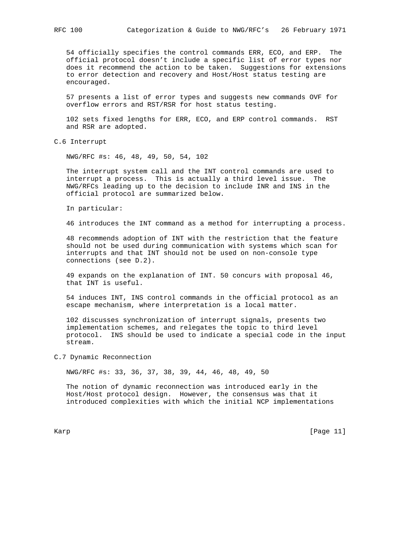54 officially specifies the control commands ERR, ECO, and ERP. The official protocol doesn't include a specific list of error types nor does it recommend the action to be taken. Suggestions for extensions to error detection and recovery and Host/Host status testing are encouraged.

 57 presents a list of error types and suggests new commands OVF for overflow errors and RST/RSR for host status testing.

 102 sets fixed lengths for ERR, ECO, and ERP control commands. RST and RSR are adopted.

C.6 Interrupt

NWG/RFC #s: 46, 48, 49, 50, 54, 102

 The interrupt system call and the INT control commands are used to interrupt a process. This is actually a third level issue. The NWG/RFCs leading up to the decision to include INR and INS in the official protocol are summarized below.

In particular:

46 introduces the INT command as a method for interrupting a process.

 48 recommends adoption of INT with the restriction that the feature should not be used during communication with systems which scan for interrupts and that INT should not be used on non-console type connections (see D.2).

 49 expands on the explanation of INT. 50 concurs with proposal 46, that INT is useful.

 54 induces INT, INS control commands in the official protocol as an escape mechanism, where interpretation is a local matter.

 102 discusses synchronization of interrupt signals, presents two implementation schemes, and relegates the topic to third level protocol. INS should be used to indicate a special code in the input stream.

C.7 Dynamic Reconnection

NWG/RFC #s: 33, 36, 37, 38, 39, 44, 46, 48, 49, 50

 The notion of dynamic reconnection was introduced early in the Host/Host protocol design. However, the consensus was that it introduced complexities with which the initial NCP implementations

Karp [Page 11]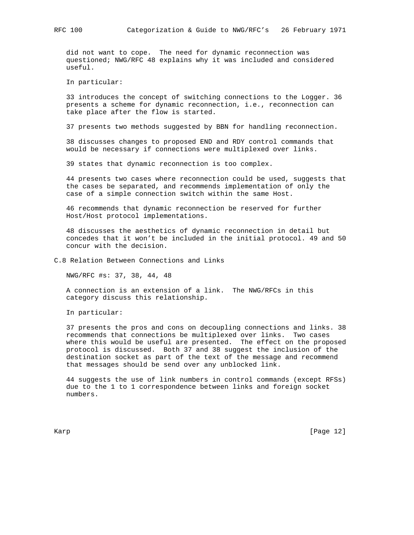did not want to cope. The need for dynamic reconnection was questioned; NWG/RFC 48 explains why it was included and considered useful.

In particular:

 33 introduces the concept of switching connections to the Logger. 36 presents a scheme for dynamic reconnection, i.e., reconnection can take place after the flow is started.

37 presents two methods suggested by BBN for handling reconnection.

 38 discusses changes to proposed END and RDY control commands that would be necessary if connections were multiplexed over links.

39 states that dynamic reconnection is too complex.

 44 presents two cases where reconnection could be used, suggests that the cases be separated, and recommends implementation of only the case of a simple connection switch within the same Host.

 46 recommends that dynamic reconnection be reserved for further Host/Host protocol implementations.

 48 discusses the aesthetics of dynamic reconnection in detail but concedes that it won't be included in the initial protocol. 49 and 50 concur with the decision.

C.8 Relation Between Connections and Links

NWG/RFC #s: 37, 38, 44, 48

 A connection is an extension of a link. The NWG/RFCs in this category discuss this relationship.

In particular:

 37 presents the pros and cons on decoupling connections and links. 38 recommends that connections be multiplexed over links. Two cases where this would be useful are presented. The effect on the proposed protocol is discussed. Both 37 and 38 suggest the inclusion of the destination socket as part of the text of the message and recommend that messages should be send over any unblocked link.

 44 suggests the use of link numbers in control commands (except RFSs) due to the 1 to 1 correspondence between links and foreign socket numbers.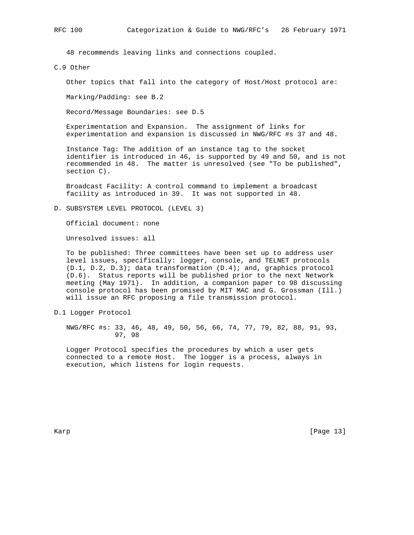48 recommends leaving links and connections coupled.

C.9 Other

Other topics that fall into the category of Host/Host protocol are:

Marking/Padding: see B.2

Record/Message Boundaries: see D.5

 Experimentation and Expansion. The assignment of links for experimentation and expansion is discussed in NWG/RFC #s 37 and 48.

 Instance Tag: The addition of an instance tag to the socket identifier is introduced in 46, is supported by 49 and 50, and is not recommended in 48. The matter is unresolved (see "To be published", section C).

 Broadcast Facility: A control command to implement a broadcast facility as introduced in 39. It was not supported in 48.

D. SUBSYSTEM LEVEL PROTOCOL (LEVEL 3)

Official document: none

Unresolved issues: all

 To be published: Three committees have been set up to address user level issues, specifically: logger, console, and TELNET protocols (D.1, D.2, D.3); data transformation (D.4); and, graphics protocol (D.6). Status reports will be published prior to the next Network meeting (May 1971). In addition, a companion paper to 98 discussing console protocol has been promised by MIT MAC and G. Grossman (Ill.) will issue an RFC proposing a file transmission protocol.

D.1 Logger Protocol

 NWG/RFC #s: 33, 46, 48, 49, 50, 56, 66, 74, 77, 79, 82, 88, 91, 93, 97, 98

 Logger Protocol specifies the procedures by which a user gets connected to a remote Host. The logger is a process, always in execution, which listens for login requests.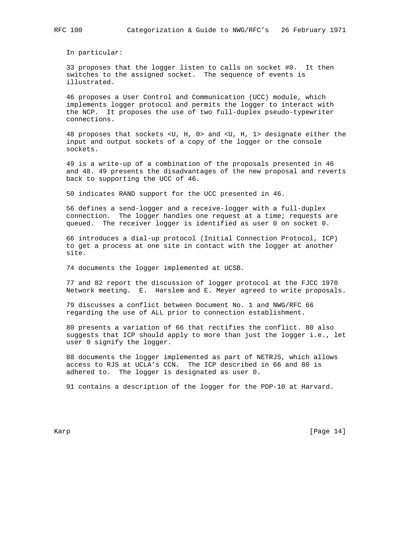In particular:

 33 proposes that the logger listen to calls on socket #0. It then switches to the assigned socket. The sequence of events is illustrated.

 46 proposes a User Control and Communication (UCC) module, which implements logger protocol and permits the logger to interact with the NCP. It proposes the use of two full-duplex pseudo-typewriter connections.

 48 proposes that sockets <U, H, 0> and <U, H, 1> designate either the input and output sockets of a copy of the logger or the console sockets.

 49 is a write-up of a combination of the proposals presented in 46 and 48. 49 presents the disadvantages of the new proposal and reverts back to supporting the UCC of 46.

50 indicates RAND support for the UCC presented in 46.

 56 defines a send-logger and a receive-logger with a full-duplex connection. The logger handles one request at a time; requests are queued. The receiver logger is identified as user 0 on socket 0.

 66 introduces a dial-up protocol (Initial Connection Protocol, ICP) to get a process at one site in contact with the logger at another site.

74 documents the logger implemented at UCSB.

 77 and 82 report the discussion of logger protocol at the FJCC 1970 Network meeting. E. Harslem and E. Meyer agreed to write proposals.

 79 discusses a conflict between Document No. 1 and NWG/RFC 66 regarding the use of ALL prior to connection establishment.

 80 presents a variation of 66 that rectifies the conflict. 80 also suggests that ICP should apply to more than just the logger i.e., let user 0 signify the logger.

 88 documents the logger implemented as part of NETRJS, which allows access to RJS at UCLA's CCN. The ICP described in 66 and 80 is adhered to. The logger is designated as user 0.

91 contains a description of the logger for the PDP-10 at Harvard.

Karp [Page 14]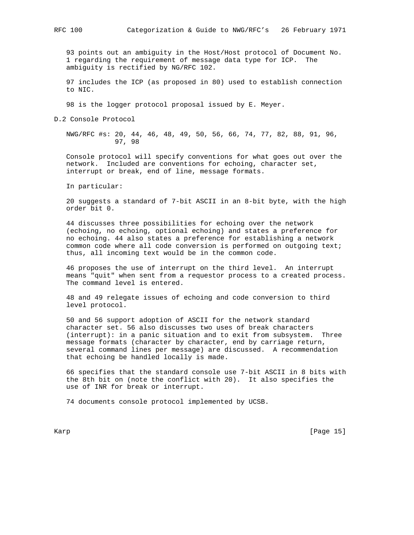93 points out an ambiguity in the Host/Host protocol of Document No. 1 regarding the requirement of message data type for ICP. The ambiguity is rectified by NG/RFC 102.

 97 includes the ICP (as proposed in 80) used to establish connection to NIC.

98 is the logger protocol proposal issued by E. Meyer.

D.2 Console Protocol

 NWG/RFC #s: 20, 44, 46, 48, 49, 50, 56, 66, 74, 77, 82, 88, 91, 96, 97, 98

 Console protocol will specify conventions for what goes out over the network. Included are conventions for echoing, character set, interrupt or break, end of line, message formats.

In particular:

 20 suggests a standard of 7-bit ASCII in an 8-bit byte, with the high order bit 0.

 44 discusses three possibilities for echoing over the network (echoing, no echoing, optional echoing) and states a preference for no echoing. 44 also states a preference for establishing a network common code where all code conversion is performed on outgoing text; thus, all incoming text would be in the common code.

 46 proposes the use of interrupt on the third level. An interrupt means "quit" when sent from a requestor process to a created process. The command level is entered.

 48 and 49 relegate issues of echoing and code conversion to third level protocol.

 50 and 56 support adoption of ASCII for the network standard character set. 56 also discusses two uses of break characters (interrupt): in a panic situation and to exit from subsystem. Three message formats (character by character, end by carriage return, several command lines per message) are discussed. A recommendation that echoing be handled locally is made.

 66 specifies that the standard console use 7-bit ASCII in 8 bits with the 8th bit on (note the conflict with 20). It also specifies the use of INR for break or interrupt.

74 documents console protocol implemented by UCSB.

Karp [Page 15]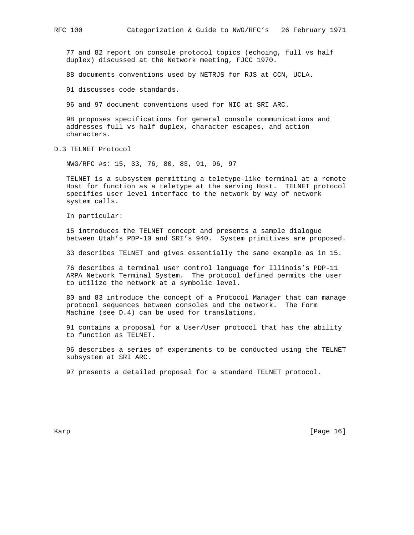77 and 82 report on console protocol topics (echoing, full vs half duplex) discussed at the Network meeting, FJCC 1970.

88 documents conventions used by NETRJS for RJS at CCN, UCLA.

91 discusses code standards.

96 and 97 document conventions used for NIC at SRI ARC.

 98 proposes specifications for general console communications and addresses full vs half duplex, character escapes, and action characters.

D.3 TELNET Protocol

NWG/RFC #s: 15, 33, 76, 80, 83, 91, 96, 97

 TELNET is a subsystem permitting a teletype-like terminal at a remote Host for function as a teletype at the serving Host. TELNET protocol specifies user level interface to the network by way of network system calls.

In particular:

 15 introduces the TELNET concept and presents a sample dialogue between Utah's PDP-10 and SRI's 940. System primitives are proposed.

33 describes TELNET and gives essentially the same example as in 15.

 76 describes a terminal user control language for Illinois's PDP-11 ARPA Network Terminal System. The protocol defined permits the user to utilize the network at a symbolic level.

 80 and 83 introduce the concept of a Protocol Manager that can manage protocol sequences between consoles and the network. The Form Machine (see D.4) can be used for translations.

 91 contains a proposal for a User/User protocol that has the ability to function as TELNET.

 96 describes a series of experiments to be conducted using the TELNET subsystem at SRI ARC.

97 presents a detailed proposal for a standard TELNET protocol.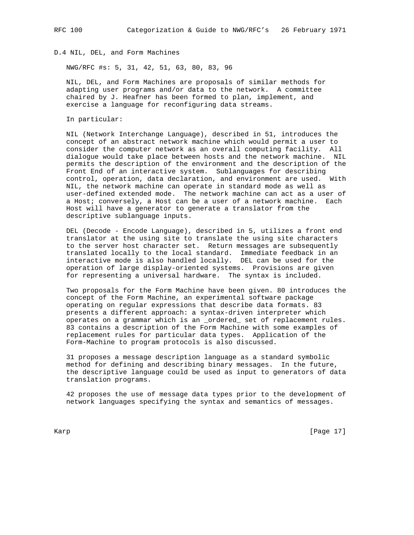## D.4 NIL, DEL, and Form Machines

NWG/RFC #s: 5, 31, 42, 51, 63, 80, 83, 96

 NIL, DEL, and Form Machines are proposals of similar methods for adapting user programs and/or data to the network. A committee chaired by J. Heafner has been formed to plan, implement, and exercise a language for reconfiguring data streams.

In particular:

 NIL (Network Interchange Language), described in 51, introduces the concept of an abstract network machine which would permit a user to consider the computer network as an overall computing facility. All dialogue would take place between hosts and the network machine. NIL permits the description of the environment and the description of the Front End of an interactive system. Sublanguages for describing control, operation, data declaration, and environment are used. With NIL, the network machine can operate in standard mode as well as user-defined extended mode. The network machine can act as a user of a Host; conversely, a Host can be a user of a network machine. Each Host will have a generator to generate a translator from the descriptive sublanguage inputs.

 DEL (Decode - Encode Language), described in 5, utilizes a front end translator at the using site to translate the using site characters to the server host character set. Return messages are subsequently translated locally to the local standard. Immediate feedback in an interactive mode is also handled locally. DEL can be used for the operation of large display-oriented systems. Provisions are given for representing a universal hardware. The syntax is included.

 Two proposals for the Form Machine have been given. 80 introduces the concept of the Form Machine, an experimental software package operating on regular expressions that describe data formats. 83 presents a different approach: a syntax-driven interpreter which operates on a grammar which is an \_ordered\_ set of replacement rules. 83 contains a description of the Form Machine with some examples of replacement rules for particular data types. Application of the Form-Machine to program protocols is also discussed.

 31 proposes a message description language as a standard symbolic method for defining and describing binary messages. In the future, the descriptive language could be used as input to generators of data translation programs.

 42 proposes the use of message data types prior to the development of network languages specifying the syntax and semantics of messages.

Karp [Page 17]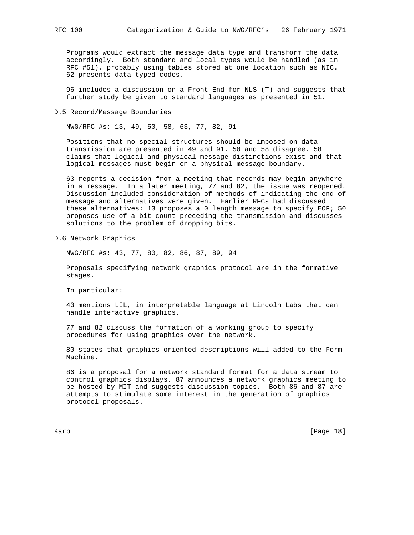Programs would extract the message data type and transform the data accordingly. Both standard and local types would be handled (as in RFC #51), probably using tables stored at one location such as NIC. 62 presents data typed codes.

 96 includes a discussion on a Front End for NLS (T) and suggests that further study be given to standard languages as presented in 51.

D.5 Record/Message Boundaries

NWG/RFC #s: 13, 49, 50, 58, 63, 77, 82, 91

 Positions that no special structures should be imposed on data transmission are presented in 49 and 91. 50 and 58 disagree. 58 claims that logical and physical message distinctions exist and that logical messages must begin on a physical message boundary.

 63 reports a decision from a meeting that records may begin anywhere in a message. In a later meeting, 77 and 82, the issue was reopened. Discussion included consideration of methods of indicating the end of message and alternatives were given. Earlier RFCs had discussed these alternatives: 13 proposes a 0 length message to specify EOF; 50 proposes use of a bit count preceding the transmission and discusses solutions to the problem of dropping bits.

D.6 Network Graphics

NWG/RFC #s: 43, 77, 80, 82, 86, 87, 89, 94

 Proposals specifying network graphics protocol are in the formative stages.

In particular:

 43 mentions LIL, in interpretable language at Lincoln Labs that can handle interactive graphics.

 77 and 82 discuss the formation of a working group to specify procedures for using graphics over the network.

 80 states that graphics oriented descriptions will added to the Form Machine.

 86 is a proposal for a network standard format for a data stream to control graphics displays. 87 announces a network graphics meeting to be hosted by MIT and suggests discussion topics. Both 86 and 87 are attempts to stimulate some interest in the generation of graphics protocol proposals.

Karp [Page 18]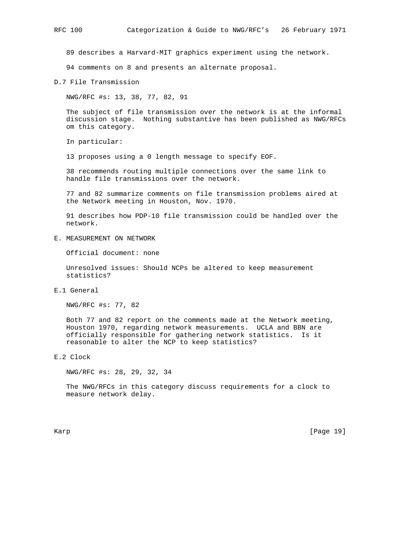89 describes a Harvard-MIT graphics experiment using the network.

94 comments on 8 and presents an alternate proposal.

D.7 File Transmission

NWG/RFC #s: 13, 38, 77, 82, 91

 The subject of file transmission over the network is at the informal discussion stage. Nothing substantive has been published as NWG/RFCs om this category.

In particular:

13 proposes using a 0 length message to specify EOF.

 38 recommends routing multiple connections over the same link to handle file transmissions over the network.

 77 and 82 summarize comments on file transmission problems aired at the Network meeting in Houston, Nov. 1970.

 91 describes how PDP-10 file transmission could be handled over the network.

E. MEASUREMENT ON NETWORK

Official document: none

 Unresolved issues: Should NCPs be altered to keep measurement statistics?

E.1 General

NWG/RFC #s: 77, 82

 Both 77 and 82 report on the comments made at the Network meeting, Houston 1970, regarding network measurements. UCLA and BBN are officially responsible for gathering network statistics. Is it reasonable to alter the NCP to keep statistics?

E.2 Clock

NWG/RFC #s: 28, 29, 32, 34

 The NWG/RFCs in this category discuss requirements for a clock to measure network delay.

Karp [Page 19]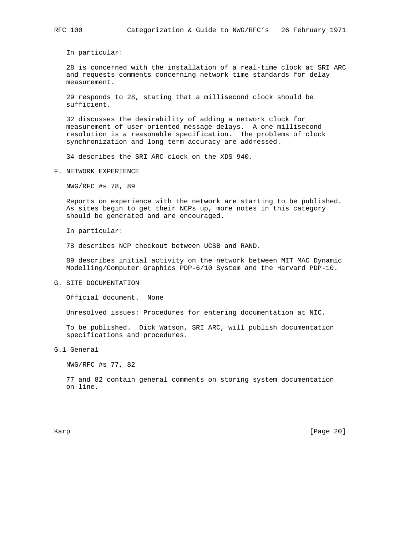In particular:

 28 is concerned with the installation of a real-time clock at SRI ARC and requests comments concerning network time standards for delay measurement.

 29 responds to 28, stating that a millisecond clock should be sufficient.

 32 discusses the desirability of adding a network clock for measurement of user-oriented message delays. A one millisecond resolution is a reasonable specification. The problems of clock synchronization and long term accuracy are addressed.

34 describes the SRI ARC clock on the XDS 940.

F. NETWORK EXPERIENCE

NWG/RFC #s 78, 89

 Reports on experience with the network are starting to be published. As sites begin to get their NCPs up, more notes in this category should be generated and are encouraged.

In particular:

78 describes NCP checkout between UCSB and RAND.

 89 describes initial activity on the network between MIT MAC Dynamic Modelling/Computer Graphics PDP-6/10 System and the Harvard PDP-10.

G. SITE DOCUMENTATION

Official document. None

Unresolved issues: Procedures for entering documentation at NIC.

 To be published. Dick Watson, SRI ARC, will publish documentation specifications and procedures.

G.1 General

NWG/RFC #s 77, 82

 77 and 82 contain general comments on storing system documentation on-line.

Karp [Page 20]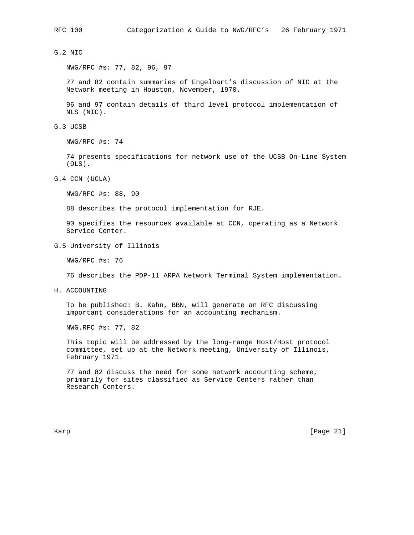# G.2 NIC

NWG/RFC #s: 77, 82, 96, 97

 77 and 82 contain summaries of Engelbart's discussion of NIC at the Network meeting in Houston, November, 1970.

 96 and 97 contain details of third level protocol implementation of NLS (NIC).

G.3 UCSB

NWG/RFC #s: 74

 74 presents specifications for network use of the UCSB On-Line System (OLS).

G.4 CCN (UCLA)

NWG/RFC #s: 88, 90

88 describes the protocol implementation for RJE.

 90 specifies the resources available at CCN, operating as a Network Service Center.

G.5 University of Illinois

NWG/RFC #s: 76

76 describes the PDP-11 ARPA Network Terminal System implementation.

H. ACCOUNTING

 To be published: B. Kahn, BBN, will generate an RFC discussing important considerations for an accounting mechanism.

NWG.RFC #s: 77, 82

 This topic will be addressed by the long-range Host/Host protocol committee, set up at the Network meeting, University of Illinois, February 1971.

 77 and 82 discuss the need for some network accounting scheme, primarily for sites classified as Service Centers rather than Research Centers.

Karp [Page 21]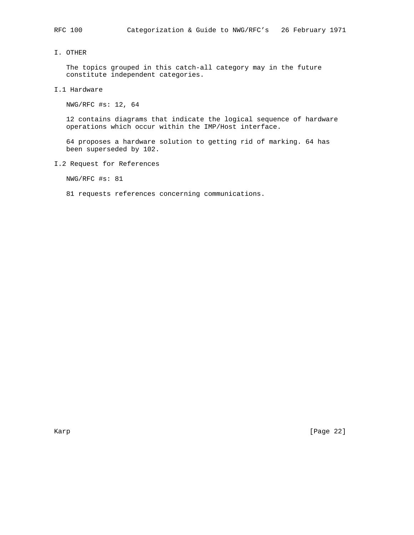## I. OTHER

 The topics grouped in this catch-all category may in the future constitute independent categories.

I.1 Hardware

NWG/RFC #s: 12, 64

 12 contains diagrams that indicate the logical sequence of hardware operations which occur within the IMP/Host interface.

 64 proposes a hardware solution to getting rid of marking. 64 has been superseded by 102.

I.2 Request for References

NWG/RFC #s: 81

81 requests references concerning communications.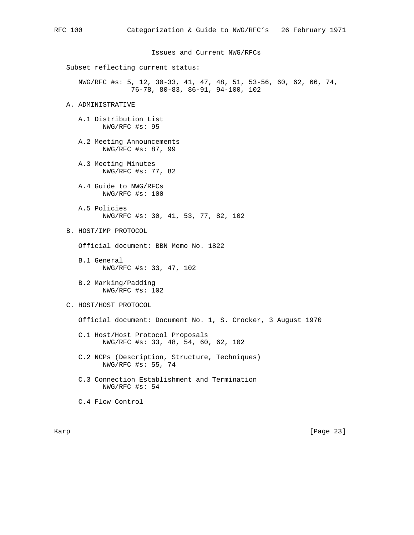Issues and Current NWG/RFCs

Subset reflecting current status:

 NWG/RFC #s: 5, 12, 30-33, 41, 47, 48, 51, 53-56, 60, 62, 66, 74, 76-78, 80-83, 86-91, 94-100, 102

### A. ADMINISTRATIVE

 A.1 Distribution List NWG/RFC #s: 95

 A.2 Meeting Announcements NWG/RFC #s: 87, 99

 A.3 Meeting Minutes NWG/RFC #s: 77, 82

 A.4 Guide to NWG/RFCs NWG/RFC #s: 100

 A.5 Policies NWG/RFC #s: 30, 41, 53, 77, 82, 102

B. HOST/IMP PROTOCOL

Official document: BBN Memo No. 1822

- B.1 General NWG/RFC #s: 33, 47, 102
- B.2 Marking/Padding NWG/RFC #s: 102

C. HOST/HOST PROTOCOL

Official document: Document No. 1, S. Crocker, 3 August 1970

- C.1 Host/Host Protocol Proposals NWG/RFC #s: 33, 48, 54, 60, 62, 102
- C.2 NCPs (Description, Structure, Techniques) NWG/RFC #s: 55, 74
- C.3 Connection Establishment and Termination NWG/RFC #s: 54

C.4 Flow Control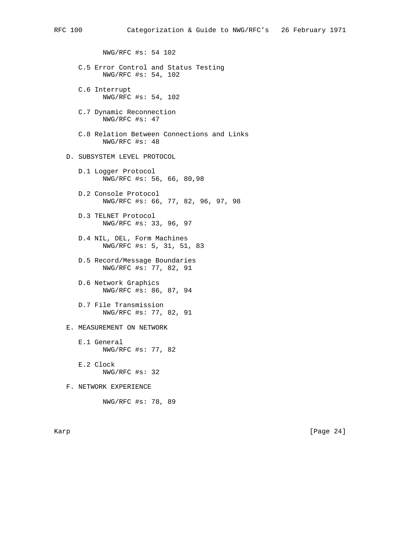NWG/RFC #s: 54 102

- C.5 Error Control and Status Testing NWG/RFC #s: 54, 102
- C.6 Interrupt NWG/RFC #s: 54, 102
- C.7 Dynamic Reconnection NWG/RFC #s: 47
- C.8 Relation Between Connections and Links NWG/RFC #s: 48

D. SUBSYSTEM LEVEL PROTOCOL

- D.1 Logger Protocol NWG/RFC #s: 56, 66, 80,98
- D.2 Console Protocol NWG/RFC #s: 66, 77, 82, 96, 97, 98
- D.3 TELNET Protocol NWG/RFC #s: 33, 96, 97
- D.4 NIL, DEL, Form Machines NWG/RFC #s: 5, 31, 51, 83
- D.5 Record/Message Boundaries NWG/RFC #s: 77, 82, 91
- D.6 Network Graphics NWG/RFC #s: 86, 87, 94
- D.7 File Transmission NWG/RFC #s: 77, 82, 91

## E. MEASUREMENT ON NETWORK

 E.1 General NWG/RFC #s: 77, 82

 E.2 Clock NWG/RFC #s: 32

F. NETWORK EXPERIENCE

NWG/RFC #s: 78, 89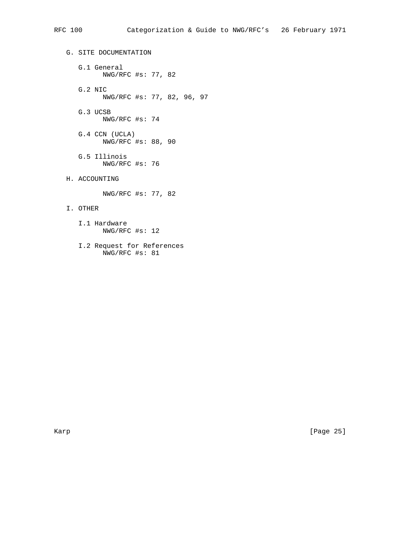G. SITE DOCUMENTATION G.1 General NWG/RFC #s: 77, 82 G.2 NIC NWG/RFC #s: 77, 82, 96, 97 G.3 UCSB NWG/RFC #s: 74 G.4 CCN (UCLA) NWG/RFC #s: 88, 90 G.5 Illinois NWG/RFC #s: 76 H. ACCOUNTING NWG/RFC #s: 77, 82 I. OTHER

- I.1 Hardware NWG/RFC #s: 12
- I.2 Request for References NWG/RFC #s: 81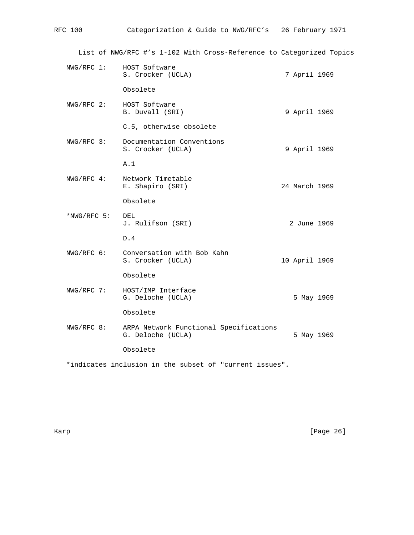| RFC 100     | Categorization & Guide to NWG/RFC's 26 February 1971                 |               |  |
|-------------|----------------------------------------------------------------------|---------------|--|
|             | List of NWG/RFC #'s 1-102 With Cross-Reference to Categorized Topics |               |  |
| NWG/RFC 1:  | HOST Software<br>S. Crocker (UCLA)                                   | 7 April 1969  |  |
|             | Obsolete                                                             |               |  |
| NWG/RFC 2:  | HOST Software<br>B. Duvall (SRI)                                     | 9 April 1969  |  |
|             | C.5, otherwise obsolete                                              |               |  |
| NWG/RFC 3:  | Documentation Conventions<br>S. Crocker (UCLA)                       | 9 April 1969  |  |
|             | A.1                                                                  |               |  |
| NWG/RFC 4:  | Network Timetable<br>E. Shapiro (SRI)                                | 24 March 1969 |  |
|             | Obsolete                                                             |               |  |
| *NWG/RFC 5: | DEL<br>J. Rulifson (SRI)                                             | 2 June 1969   |  |
|             | D.4                                                                  |               |  |
| NWG/RFC 6:  | Conversation with Bob Kahn<br>S. Crocker (UCLA)                      | 10 April 1969 |  |
|             | Obsolete                                                             |               |  |
| NWG/RFC 7:  | HOST/IMP Interface<br>G. Deloche (UCLA)                              | 5 May 1969    |  |
|             | Obsolete                                                             |               |  |
| NWG/RFC 8:  | ARPA Network Functional Specifications<br>G. Deloche (UCLA)          | 5 May 1969    |  |
|             | Obsolete                                                             |               |  |
|             | *indicates inclusion in the subset of "current issues".              |               |  |

Karp [Page 26]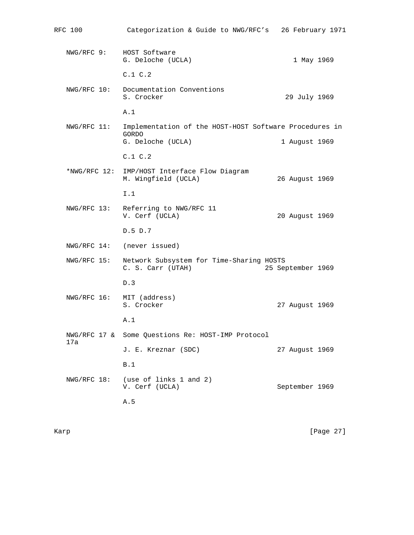| RFC 100     | Categorization & Guide to NWG/RFC's                                                  | 26 February 1971  |
|-------------|--------------------------------------------------------------------------------------|-------------------|
| NWG/RFC 9:  | HOST Software<br>G. Deloche (UCLA)                                                   | 1 May 1969        |
|             | C.1 C.2                                                                              |                   |
| NWG/RFC 10: | Documentation Conventions<br>S. Crocker                                              | 29 July 1969      |
|             | A.1                                                                                  |                   |
| NWG/RFC 11: | Implementation of the HOST-HOST Software Procedures in<br>GORDO<br>G. Deloche (UCLA) | 1 August 1969     |
|             | C.1 C.2                                                                              |                   |
|             | *NWG/RFC 12: IMP/HOST Interface Flow Diagram<br>M. Wingfield (UCLA)                  | 26 August 1969    |
|             | I.1                                                                                  |                   |
|             | NWG/RFC 13: Referring to NWG/RFC 11<br>V. Cerf (UCLA)                                | 20 August 1969    |
|             | D.5 D.7                                                                              |                   |
|             | NWG/RFC 14: (never issued)                                                           |                   |
| NWG/RFC 15: | Network Subsystem for Time-Sharing HOSTS<br>C. S. Carr (UTAH)                        | 25 September 1969 |
|             | D.3                                                                                  |                   |
|             | NWG/RFC 16: MIT (address)<br>S. Crocker                                              | 27 August 1969    |
|             | A.1                                                                                  |                   |
| 17a         | NWG/RFC 17 & Some Questions Re: HOST-IMP Protocol                                    |                   |
|             | J. E. Kreznar (SDC)                                                                  | 27 August 1969    |
|             | B.1                                                                                  |                   |
| NWG/RFC 18: | (use of links 1 and 2)<br>V. Cerf (UCLA)                                             | September 1969    |
|             | A.5                                                                                  |                   |
|             |                                                                                      |                   |

Karp [Page 27]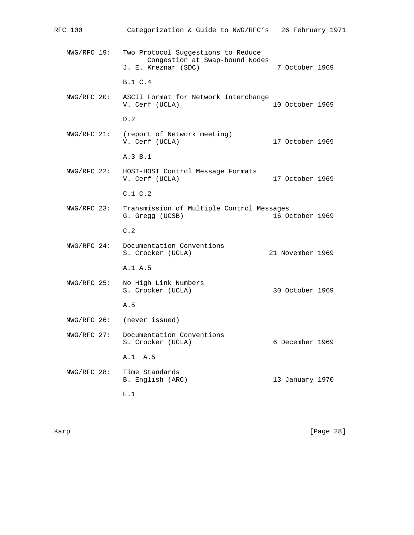| RFC 100        | Categorization & Guide to NWG/RFC's 26 February 1971                                        |                  |  |
|----------------|---------------------------------------------------------------------------------------------|------------------|--|
| NWG/RFC 19:    | Two Protocol Suggestions to Reduce<br>Congestion at Swap-bound Nodes<br>J. E. Kreznar (SDC) | 7 October 1969   |  |
|                | B.1 C.4                                                                                     |                  |  |
|                | NWG/RFC 20: ASCII Format for Network Interchange<br>V. Cerf (UCLA)                          | 10 October 1969  |  |
|                | D.2                                                                                         |                  |  |
|                | NWG/RFC 21: (report of Network meeting)<br>V. Cerf (UCLA)                                   | 17 October 1969  |  |
|                | A.3 B.1                                                                                     |                  |  |
|                | NWG/RFC 22: HOST-HOST Control Message Formats<br>V. Cerf (UCLA)                             | 17 October 1969  |  |
|                | C.1 C.2                                                                                     |                  |  |
| NWG/RFC 23:    | Transmission of Multiple Control Messages<br>G. Gregg (UCSB)                                | 16 October 1969  |  |
|                | C.2                                                                                         |                  |  |
| $NWG/RFC 24$ : | Documentation Conventions<br>S. Crocker (UCLA)                                              | 21 November 1969 |  |
|                | A.1 A.5                                                                                     |                  |  |
| NWG/RFC 25:    | No High Link Numbers<br>S. Crocker (UCLA)                                                   | 30 October 1969  |  |
|                | A.5                                                                                         |                  |  |
| NWG/RFC 26:    | (never issued)                                                                              |                  |  |
|                | NWG/RFC 27: Documentation Conventions<br>S. Crocker (UCLA)                                  | 6 December 1969  |  |
|                | A.1 A.5                                                                                     |                  |  |
| NWG/RFC 28:    | Time Standards<br>B. English (ARC)                                                          | 13 January 1970  |  |
|                | E.1                                                                                         |                  |  |

Karp [Page 28]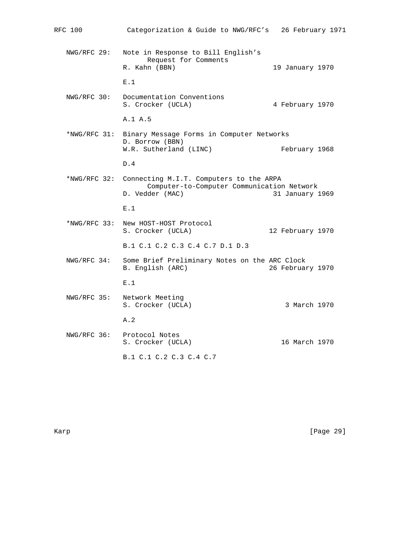| RFC 100      | Categorization & Guide to NWG/RFC's                                                                      | 26 February 1971 |
|--------------|----------------------------------------------------------------------------------------------------------|------------------|
| NWG/RFC 29:  | Note in Response to Bill English's<br>Request for Comments<br>R. Kahn (BBN)                              | 19 January 1970  |
|              | E.1                                                                                                      |                  |
| NWG/RFC 30:  | Documentation Conventions<br>S. Crocker (UCLA)                                                           | 4 February 1970  |
|              | A.1 A.5                                                                                                  |                  |
| *NWG/RFC 31: | Binary Message Forms in Computer Networks<br>D. Borrow (BBN)<br>W.R. Sutherland (LINC)                   | February 1968    |
|              | D.4                                                                                                      |                  |
| *NWG/RFC 32: | Connecting M.I.T. Computers to the ARPA<br>Computer-to-Computer Communication Network<br>D. Vedder (MAC) | 31 January 1969  |
|              | E.1                                                                                                      |                  |
|              | *NWG/RFC 33: New HOST-HOST Protocol<br>S. Crocker (UCLA)                                                 | 12 February 1970 |
|              | B.1 C.1 C.2 C.3 C.4 C.7 D.1 D.3                                                                          |                  |
| NWG/RFC 34:  | Some Brief Preliminary Notes on the ARC Clock<br>B. English (ARC)                                        | 26 February 1970 |
|              | E.1                                                                                                      |                  |
| NWG/RFC 35:  | Network Meeting<br>S. Crocker (UCLA)                                                                     | 3 March 1970     |
|              | A.2                                                                                                      |                  |
| NWG/RFC 36:  | Protocol Notes<br>S. Crocker (UCLA)                                                                      | 16 March 1970    |
|              | B.1 C.1 C.2 C.3 C.4 C.7                                                                                  |                  |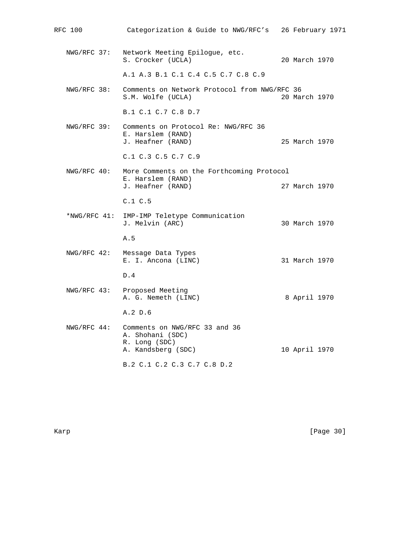| RFC 100     | Categorization & Guide to NWG/RFC's                                                      |               | 26 February 1971 |
|-------------|------------------------------------------------------------------------------------------|---------------|------------------|
| NWG/RFC 37: | Network Meeting Epilogue, etc.<br>S. Crocker (UCLA)                                      | 20 March 1970 |                  |
|             | A.1 A.3 B.1 C.1 C.4 C.5 C.7 C.8 C.9                                                      |               |                  |
| NWG/RFC 38: | Comments on Network Protocol from NWG/RFC 36<br>S.M. Wolfe (UCLA)                        | 20 March 1970 |                  |
|             | B.1 C.1 C.7 C.8 D.7                                                                      |               |                  |
| NWG/RFC 39: | Comments on Protocol Re: NWG/RFC 36<br>E. Harslem (RAND)<br>J. Heafner (RAND)            | 25 March 1970 |                  |
|             | C.1 C.3 C.5 C.7 C.9                                                                      |               |                  |
| NWG/RFC 40: | More Comments on the Forthcoming Protocol<br>E. Harslem (RAND)<br>J. Heafner (RAND)      | 27 March 1970 |                  |
|             | C.1 C.5                                                                                  |               |                  |
|             | *NWG/RFC 41: IMP-IMP Teletype Communication<br>J. Melvin (ARC)                           | 30 March 1970 |                  |
|             | A.5                                                                                      |               |                  |
| NWG/RFC 42: | Message Data Types<br>E. I. Ancona (LINC)                                                | 31 March 1970 |                  |
|             | D.4                                                                                      |               |                  |
|             | NWG/RFC 43: Proposed Meeting<br>A. G. Nemeth (LINC)                                      | 8 April 1970  |                  |
|             | A.2 D.6                                                                                  |               |                  |
| NWG/RFC 44: | Comments on NWG/RFC 33 and 36<br>A. Shohani (SDC)<br>R. Long (SDC)<br>A. Kandsberg (SDC) | 10 April 1970 |                  |
|             | B.2 C.1 C.2 C.3 C.7 C.8 D.2                                                              |               |                  |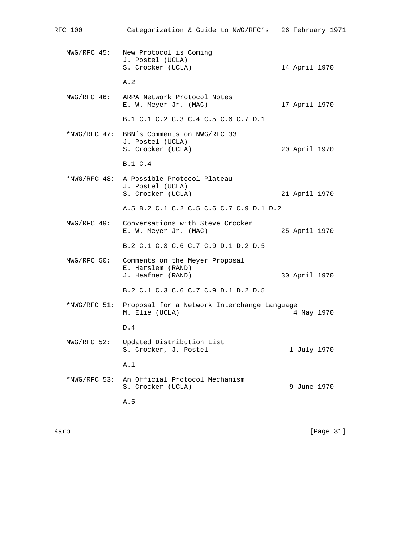| RFC 100      | Categorization & Guide to NWG/RFC's 26 February 1971                               |               |
|--------------|------------------------------------------------------------------------------------|---------------|
|              | NWG/RFC 45: New Protocol is Coming<br>J. Postel (UCLA)<br>S. Crocker (UCLA)        | 14 April 1970 |
|              | A.2                                                                                |               |
|              | NWG/RFC 46: ARPA Network Protocol Notes<br>E. W. Meyer Jr. (MAC)                   | 17 April 1970 |
|              | B.1 C.1 C.2 C.3 C.4 C.5 C.6 C.7 D.1                                                |               |
|              | *NWG/RFC 47: BBN's Comments on NWG/RFC 33<br>J. Postel (UCLA)<br>S. Crocker (UCLA) | 20 April 1970 |
|              | B.1 C.4                                                                            |               |
|              | *NWG/RFC 48: A Possible Protocol Plateau<br>J. Postel (UCLA)<br>S. Crocker (UCLA)  | 21 April 1970 |
|              | A.5 B.2 C.1 C.2 C.5 C.6 C.7 C.9 D.1 D.2                                            |               |
| NWG/RFC 49:  | Conversations with Steve Crocker<br>E. W. Meyer Jr. (MAC)                          | 25 April 1970 |
|              | B.2 C.1 C.3 C.6 C.7 C.9 D.1 D.2 D.5                                                |               |
| NWG/RFC 50:  | Comments on the Meyer Proposal<br>E. Harslem (RAND)<br>J. Heafner (RAND)           | 30 April 1970 |
|              | B.2 C.1 C.3 C.6 C.7 C.9 D.1 D.2 D.5                                                |               |
|              | *NWG/RFC 51: Proposal for a Network Interchange Language<br>M. Elie (UCLA)         | 4 May 1970    |
|              | D.4                                                                                |               |
| NWG/RFC 52:  | Updated Distribution List<br>S. Crocker, J. Postel                                 | 1 July 1970   |
|              | A.1                                                                                |               |
| *NWG/RFC 53: | An Official Protocol Mechanism<br>S. Crocker (UCLA)                                | 9 June 1970   |
|              | A.5                                                                                |               |

Karp [Page 31]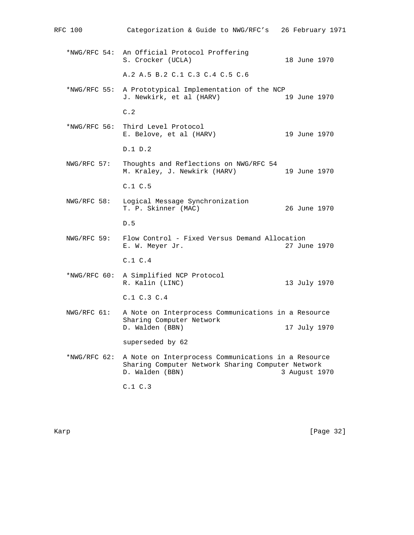RFC 100 Categorization & Guide to NWG/RFC's 26 February 1971 \*NWG/RFC 54: An Official Protocol Proffering S. Crocker (UCLA) 18 June 1970 A.2 A.5 B.2 C.1 C.3 C.4 C.5 C.6 \*NWG/RFC 55: A Prototypical Implementation of the NCP J. Newkirk, et al (HARV) C.2 \*NWG/RFC 56: Third Level Protocol E. Belove, et al (HARV) 19 June 1970 D.1 D.2 NWG/RFC 57: Thoughts and Reflections on NWG/RFC 54 M. Kraley, J. Newkirk (HARV) 19 June 1970 C.1 C.5 NWG/RFC 58: Logical Message Synchronization T. P. Skinner (MAC) 26 June 1970 D.5 NWG/RFC 59: Flow Control - Fixed Versus Demand Allocation E. W. Meyer Jr. 27 June 1970 C.1 C.4 \*NWG/RFC 60: A Simplified NCP Protocol R. Kalin (LINC) 13 July 1970 C.1 C.3 C.4 NWG/RFC 61: A Note on Interprocess Communications in a Resource Sharing Computer Network D. Walden (BBN) 17 July 1970 superseded by 62 \*NWG/RFC 62: A Note on Interprocess Communications in a Resource Sharing Computer Network Sharing Computer Network D. Walden (BBN) 3 August 1970 C.1 C.3

Karp [Page 32]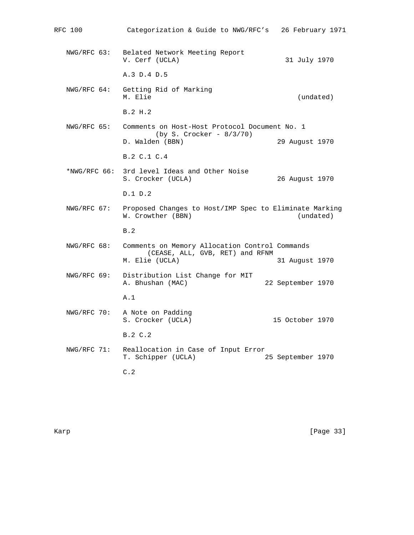| RFC 100        | Categorization & Guide to NWG/RFC's                                                                 | 26 February 1971  |
|----------------|-----------------------------------------------------------------------------------------------------|-------------------|
|                | NWG/RFC 63: Belated Network Meeting Report<br>V. Cerf (UCLA)                                        | 31 July 1970      |
|                | A.3 D.4 D.5                                                                                         |                   |
|                | NWG/RFC 64: Getting Rid of Marking<br>M. Elie                                                       | (undated)         |
|                | B.2 H.2                                                                                             |                   |
| NWG/RFC 65:    | Comments on Host-Host Protocol Document No. 1<br>$(by S. Crocker - 8/3/70)$                         |                   |
|                | D. Walden (BBN)                                                                                     | 29 August 1970    |
|                | B.2 C.1 C.4                                                                                         |                   |
| $*NWG/RFC$ 66: | 3rd level Ideas and Other Noise<br>S. Crocker (UCLA)                                                | 26 August 1970    |
|                | D.1 D.2                                                                                             |                   |
| NWG/RFC 67:    | Proposed Changes to Host/IMP Spec to Eliminate Marking<br>W. Crowther (BBN)                         | (undated)         |
|                | B.2                                                                                                 |                   |
| NWG/RFC 68:    | Comments on Memory Allocation Control Commands<br>(CEASE, ALL, GVB, RET) and RFNM<br>M. Elie (UCLA) | 31 August 1970    |
| NWG/RFC 69:    | Distribution List Change for MIT                                                                    |                   |
|                | A. Bhushan (MAC)                                                                                    | 22 September 1970 |
|                | A.1                                                                                                 |                   |
| NWG/RFC 70:    | A Note on Padding<br>S. Crocker (UCLA)                                                              | 15 October 1970   |
|                | B.2 C.2                                                                                             |                   |
| NWG/RFC 71:    | Reallocation in Case of Input Error<br>T. Schipper (UCLA)                                           | 25 September 1970 |
|                | C.2                                                                                                 |                   |

Karp [Page 33]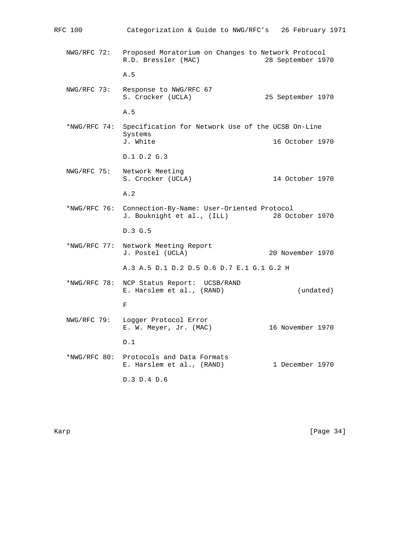RFC 100 Categorization & Guide to NWG/RFC's 26 February 1971 NWG/RFC 72: Proposed Moratorium on Changes to Network Protocol R.D. Bressler (MAC) 28 September 1970 A.5 NWG/RFC 73: Response to NWG/RFC 67 S. Crocker (UCLA) 25 September 1970 A.5 \*NWG/RFC 74: Specification for Network Use of the UCSB On-Line Systems<br>J. White 16 October 1970 D.1 D.2 G.3 NWG/RFC 75: Network Meeting Network Meeting<br>S. Crocker (UCLA) 14 October 1970 A.2 \*NWG/RFC 76: Connection-By-Name: User-Oriented Protocol J. Bouknight et al., (ILL) 28 October 1970 D.3 G.5 \*NWG/RFC 77: Network Meeting Report J. Postel (UCLA) 20 November 1970 A.3 A.5 D.1 D.2 D.5 D.6 D.7 E.1 G.1 G.2 H \*NWG/RFC 78: NCP Status Report: UCSB/RAND E. Harslem et al., (RAND) (undated) For the state of the state of the state of the state of the state of the state of the state of the state of the NWG/RFC 79: Logger Protocol Error E. W. Meyer, Jr. (MAC) 16 November 1970 D.1 \*NWG/RFC 80: Protocols and Data Formats E. Harslem et al., (RAND) 1 December 1970 D.3 D.4 D.6

Karp [Page 34]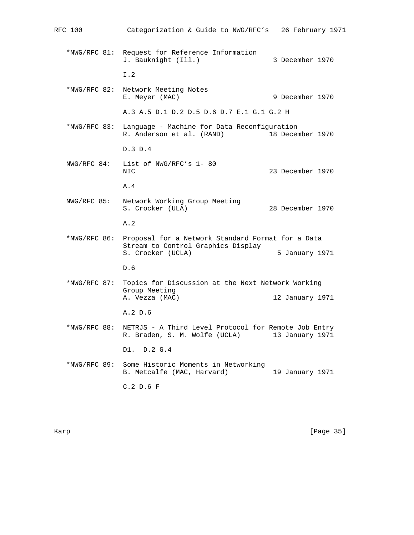| RFC 100        | Categorization & Guide to NWG/RFC's                                                                          | 26 February 1971 |  |
|----------------|--------------------------------------------------------------------------------------------------------------|------------------|--|
| *NWG/RFC 81:   | Request for Reference Information<br>J. Bauknight (Ill.)                                                     | 3 December 1970  |  |
|                | I.2                                                                                                          |                  |  |
| *NWG/RFC 82:   | Network Meeting Notes<br>E. Meyer (MAC)                                                                      | 9 December 1970  |  |
|                | A.3 A.5 D.1 D.2 D.5 D.6 D.7 E.1 G.1 G.2 H                                                                    |                  |  |
| *NWG/RFC 83:   | Language - Machine for Data Reconfiguration<br>R. Anderson et al. (RAND)                                     | 18 December 1970 |  |
|                | D.3 D.4                                                                                                      |                  |  |
| NWG/RFC 84:    | List of NWG/RFC's 1-80<br>NIC                                                                                | 23 December 1970 |  |
|                | A.4                                                                                                          |                  |  |
| NWG/RFC 85:    | Network Working Group Meeting<br>S. Crocker (ULA)                                                            | 28 December 1970 |  |
|                | A.2                                                                                                          |                  |  |
| *NWG/RFC 86:   | Proposal for a Network Standard Format for a Data<br>Stream to Control Graphics Display<br>S. Crocker (UCLA) | 5 January 1971   |  |
|                | D.6                                                                                                          |                  |  |
| $*NWG/RFC 87:$ | Topics for Discussion at the Next Network Working<br>Group Meeting<br>A. Vezza (MAC)                         | 12 January 1971  |  |
|                | A.2 D.6                                                                                                      |                  |  |
| *NWG/RFC 88:   | NETRJS - A Third Level Protocol for Remote Job Entry                                                         |                  |  |
|                | R. Braden, S. M. Wolfe (UCLA)                                                                                | 13 January 1971  |  |
|                | D1.<br>D.2 G.4                                                                                               |                  |  |
| $*NWG/RFC 89:$ | Some Historic Moments in Networking<br>B. Metcalfe (MAC, Harvard)                                            | 19 January 1971  |  |
|                | $C.2$ D.6 F                                                                                                  |                  |  |
|                |                                                                                                              |                  |  |

Karp [Page 35]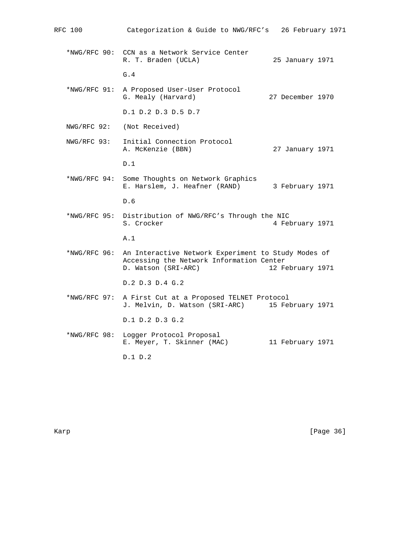| RFC 100        | Categorization & Guide to NWG/RFC's 26 February 1971                                                                   |                  |  |
|----------------|------------------------------------------------------------------------------------------------------------------------|------------------|--|
|                | *NWG/RFC 90: CCN as a Network Service Center<br>R. T. Braden (UCLA)                                                    | 25 January 1971  |  |
|                | G.4                                                                                                                    |                  |  |
| *NWG/RFC 91:   | A Proposed User-User Protocol<br>G. Mealy (Harvard)                                                                    | 27 December 1970 |  |
|                | D.1 D.2 D.3 D.5 D.7                                                                                                    |                  |  |
| NWG/RFC 92:    | (Not Received)                                                                                                         |                  |  |
| NWG/RFC 93:    | Initial Connection Protocol<br>A. McKenzie (BBN)                                                                       | 27 January 1971  |  |
|                | D.1                                                                                                                    |                  |  |
| $*NWG/RFC94$ : | Some Thoughts on Network Graphics<br>E. Harslem, J. Heafner (RAND)                                                     | 3 February 1971  |  |
|                | D.6                                                                                                                    |                  |  |
| *NWG/RFC 95:   | Distribution of NWG/RFC's Through the NIC<br>S. Crocker                                                                | 4 February 1971  |  |
|                | A.1                                                                                                                    |                  |  |
| *NWG/RFC 96:   | An Interactive Network Experiment to Study Modes of<br>Accessing the Network Information Center<br>D. Watson (SRI-ARC) | 12 February 1971 |  |
|                | D.2 D.3 D.4 G.2                                                                                                        |                  |  |
|                |                                                                                                                        |                  |  |
| *NWG/RFC 97:   | A First Cut at a Proposed TELNET Protocol<br>J. Melvin, D. Watson (SRI-ARC)                                            | 15 February 1971 |  |
|                | D.1 D.2 D.3 G.2                                                                                                        |                  |  |
| *NWG/RFC 98:   | Logger Protocol Proposal<br>E. Meyer, T. Skinner (MAC)                                                                 | 11 February 1971 |  |
|                | D.1 D.2                                                                                                                |                  |  |